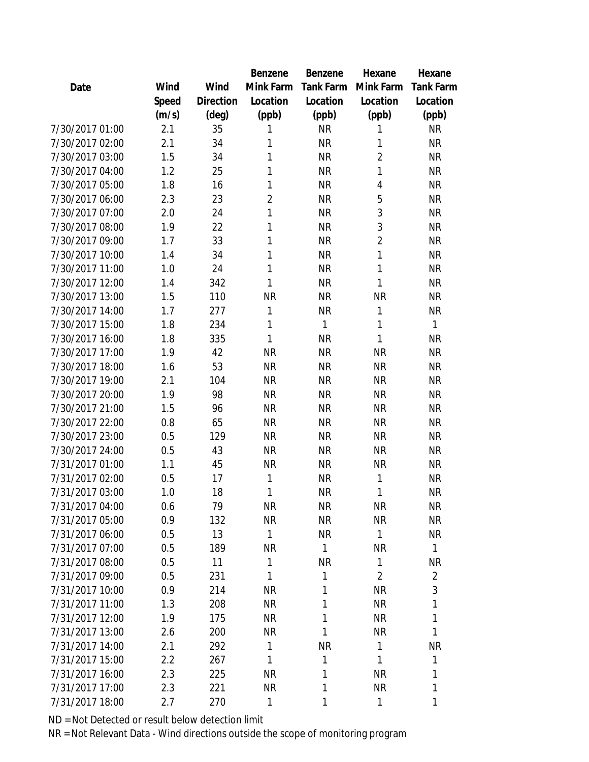|                 |       |           | Benzene        | Benzene          | Hexane         | Hexane           |
|-----------------|-------|-----------|----------------|------------------|----------------|------------------|
| Date            | Wind  | Wind      | Mink Farm      | <b>Tank Farm</b> | Mink Farm      | <b>Tank Farm</b> |
|                 | Speed | Direction | Location       | Location         | Location       | Location         |
|                 | (m/s) | (deg)     | (ppb)          | (ppb)            | (ppb)          | (ppb)            |
| 7/30/2017 01:00 | 2.1   | 35        | 1              | <b>NR</b>        | 1              | <b>NR</b>        |
| 7/30/2017 02:00 | 2.1   | 34        | 1              | <b>NR</b>        | 1              | <b>NR</b>        |
| 7/30/2017 03:00 | 1.5   | 34        | 1              | <b>NR</b>        | $\overline{2}$ | <b>NR</b>        |
| 7/30/2017 04:00 | 1.2   | 25        | 1              | <b>NR</b>        | 1              | <b>NR</b>        |
| 7/30/2017 05:00 | 1.8   | 16        | 1              | <b>NR</b>        | 4              | <b>NR</b>        |
| 7/30/2017 06:00 | 2.3   | 23        | $\overline{2}$ | <b>NR</b>        | 5              | <b>NR</b>        |
| 7/30/2017 07:00 | 2.0   | 24        | 1              | <b>NR</b>        | 3              | <b>NR</b>        |
| 7/30/2017 08:00 | 1.9   | 22        | 1              | <b>NR</b>        | 3              | <b>NR</b>        |
| 7/30/2017 09:00 | 1.7   | 33        | $\mathbf{1}$   | <b>NR</b>        | $\overline{2}$ | <b>NR</b>        |
| 7/30/2017 10:00 | 1.4   | 34        | 1              | <b>NR</b>        | 1              | <b>NR</b>        |
| 7/30/2017 11:00 | 1.0   | 24        | $\mathbf{1}$   | <b>NR</b>        | 1              | <b>NR</b>        |
| 7/30/2017 12:00 | 1.4   | 342       | $\mathbf{1}$   | <b>NR</b>        | 1              | <b>NR</b>        |
| 7/30/2017 13:00 | 1.5   | 110       | <b>NR</b>      | <b>NR</b>        | <b>NR</b>      | <b>NR</b>        |
| 7/30/2017 14:00 | 1.7   | 277       | 1              | <b>NR</b>        | 1              | <b>NR</b>        |
| 7/30/2017 15:00 | 1.8   | 234       | 1              | 1                | 1              | 1                |
| 7/30/2017 16:00 | 1.8   | 335       | 1              | <b>NR</b>        | 1              | <b>NR</b>        |
| 7/30/2017 17:00 | 1.9   | 42        | <b>NR</b>      | <b>NR</b>        | <b>NR</b>      | <b>NR</b>        |
| 7/30/2017 18:00 | 1.6   | 53        | <b>NR</b>      | <b>NR</b>        | <b>NR</b>      | <b>NR</b>        |
| 7/30/2017 19:00 | 2.1   | 104       | <b>NR</b>      | <b>NR</b>        | <b>NR</b>      | <b>NR</b>        |
| 7/30/2017 20:00 | 1.9   | 98        | <b>NR</b>      | <b>NR</b>        | <b>NR</b>      | <b>NR</b>        |
| 7/30/2017 21:00 | 1.5   | 96        | <b>NR</b>      | <b>NR</b>        | <b>NR</b>      | <b>NR</b>        |
| 7/30/2017 22:00 | 0.8   | 65        | <b>NR</b>      | <b>NR</b>        | <b>NR</b>      | <b>NR</b>        |
| 7/30/2017 23:00 | 0.5   | 129       | <b>NR</b>      | <b>NR</b>        | <b>NR</b>      | <b>NR</b>        |
| 7/30/2017 24:00 | 0.5   | 43        | <b>NR</b>      | <b>NR</b>        | <b>NR</b>      | <b>NR</b>        |
| 7/31/2017 01:00 | 1.1   | 45        | <b>NR</b>      | <b>NR</b>        | <b>NR</b>      | <b>NR</b>        |
| 7/31/2017 02:00 | 0.5   | 17        | 1              | <b>NR</b>        | 1              | <b>NR</b>        |
| 7/31/2017 03:00 | 1.0   | 18        | 1              | <b>NR</b>        | 1              | <b>NR</b>        |
| 7/31/2017 04:00 | 0.6   | 79        | <b>NR</b>      | <b>NR</b>        | <b>NR</b>      | NR               |
| 7/31/2017 05:00 | 0.9   | 132       | <b>NR</b>      | <b>NR</b>        | <b>NR</b>      | <b>NR</b>        |
| 7/31/2017 06:00 | 0.5   | 13        | 1              | <b>NR</b>        | 1              | <b>NR</b>        |
| 7/31/2017 07:00 | 0.5   | 189       | <b>NR</b>      | 1                | <b>NR</b>      | 1                |
| 7/31/2017 08:00 | 0.5   | 11        | 1              | <b>NR</b>        | 1              | <b>NR</b>        |
| 7/31/2017 09:00 | 0.5   | 231       | $\mathbf{1}$   | 1                | $\overline{2}$ | $\overline{a}$   |
| 7/31/2017 10:00 | 0.9   | 214       | <b>NR</b>      | 1                | <b>NR</b>      | 3                |
| 7/31/2017 11:00 | 1.3   | 208       | <b>NR</b>      | 1                | <b>NR</b>      | 1                |
| 7/31/2017 12:00 | 1.9   | 175       | <b>NR</b>      | 1                | <b>NR</b>      | 1                |
| 7/31/2017 13:00 | 2.6   | 200       | <b>NR</b>      | 1                | <b>NR</b>      | 1                |
| 7/31/2017 14:00 | 2.1   | 292       | $\mathbf{1}$   | <b>NR</b>        | 1              | <b>NR</b>        |
| 7/31/2017 15:00 | 2.2   | 267       | 1              | 1                | 1              | 1                |
| 7/31/2017 16:00 | 2.3   | 225       | <b>NR</b>      | 1                | <b>NR</b>      | 1                |
| 7/31/2017 17:00 | 2.3   | 221       | <b>NR</b>      | 1                | <b>NR</b>      | 1                |
| 7/31/2017 18:00 | 2.7   | 270       | 1              | 1                | 1              | 1                |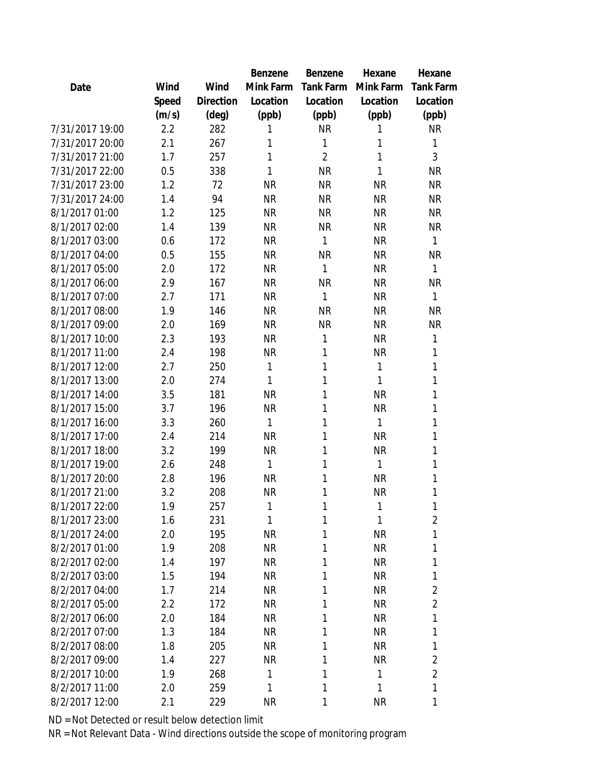|                 |       |           | Benzene   | Benzene          | Hexane    | Hexane           |
|-----------------|-------|-----------|-----------|------------------|-----------|------------------|
| Date            | Wind  | Wind      | Mink Farm | <b>Tank Farm</b> | Mink Farm | <b>Tank Farm</b> |
|                 | Speed | Direction | Location  | Location         | Location  | Location         |
|                 | (m/s) | (deg)     | (ppb)     | (ppb)            | (ppb)     | (ppb)            |
| 7/31/2017 19:00 | 2.2   | 282       | 1         | <b>NR</b>        | 1         | <b>NR</b>        |
| 7/31/2017 20:00 | 2.1   | 267       | 1         | 1                | 1         | 1                |
| 7/31/2017 21:00 | 1.7   | 257       | 1         | $\overline{2}$   | 1         | 3                |
| 7/31/2017 22:00 | 0.5   | 338       | 1         | <b>NR</b>        | 1         | <b>NR</b>        |
| 7/31/2017 23:00 | 1.2   | 72        | <b>NR</b> | <b>NR</b>        | <b>NR</b> | <b>NR</b>        |
| 7/31/2017 24:00 | 1.4   | 94        | <b>NR</b> | <b>NR</b>        | <b>NR</b> | <b>NR</b>        |
| 8/1/2017 01:00  | 1.2   | 125       | <b>NR</b> | <b>NR</b>        | <b>NR</b> | <b>NR</b>        |
| 8/1/2017 02:00  | 1.4   | 139       | <b>NR</b> | <b>NR</b>        | <b>NR</b> | <b>NR</b>        |
| 8/1/2017 03:00  | 0.6   | 172       | <b>NR</b> | 1                | <b>NR</b> | $\mathbf{1}$     |
| 8/1/2017 04:00  | 0.5   | 155       | <b>NR</b> | <b>NR</b>        | <b>NR</b> | <b>NR</b>        |
| 8/1/2017 05:00  | 2.0   | 172       | <b>NR</b> | 1                | <b>NR</b> | $\mathbf{1}$     |
| 8/1/2017 06:00  | 2.9   | 167       | <b>NR</b> | <b>NR</b>        | <b>NR</b> | <b>NR</b>        |
| 8/1/2017 07:00  | 2.7   | 171       | <b>NR</b> | 1                | <b>NR</b> | $\mathbf{1}$     |
| 8/1/2017 08:00  | 1.9   | 146       | <b>NR</b> | <b>NR</b>        | <b>NR</b> | <b>NR</b>        |
| 8/1/2017 09:00  | 2.0   | 169       | <b>NR</b> | <b>NR</b>        | <b>NR</b> | <b>NR</b>        |
| 8/1/2017 10:00  | 2.3   | 193       | <b>NR</b> | 1                | <b>NR</b> | $\mathbf{1}$     |
| 8/1/2017 11:00  | 2.4   | 198       | <b>NR</b> | 1                | NR        | 1                |
| 8/1/2017 12:00  | 2.7   | 250       | 1         | 1                | 1         | 1                |
| 8/1/2017 13:00  | 2.0   | 274       | 1         | 1                | 1         | 1                |
| 8/1/2017 14:00  | 3.5   | 181       | <b>NR</b> | 1                | <b>NR</b> | 1                |
| 8/1/2017 15:00  | 3.7   | 196       | <b>NR</b> | 1                | NR        | 1                |
| 8/1/2017 16:00  | 3.3   | 260       | 1         | 1                | 1         | 1                |
| 8/1/2017 17:00  | 2.4   | 214       | <b>NR</b> | 1                | <b>NR</b> | 1                |
| 8/1/2017 18:00  | 3.2   | 199       | <b>NR</b> | 1                | <b>NR</b> | 1                |
| 8/1/2017 19:00  | 2.6   | 248       | 1         | 1                | 1         | 1                |
| 8/1/2017 20:00  | 2.8   | 196       | <b>NR</b> | 1                | <b>NR</b> | 1                |
| 8/1/2017 21:00  | 3.2   | 208       | <b>NR</b> | 1                | NR        | 1                |
| 8/1/2017 22:00  | 1.9   | 257       | 1         | 1                | 1         | 1                |
| 8/1/2017 23:00  | 1.6   | 231       | 1         | 1                | 1         | $\overline{2}$   |
| 8/1/2017 24:00  | 2.0   | 195       | <b>NR</b> | 1                | <b>NR</b> | 1                |
| 8/2/2017 01:00  | 1.9   | 208       | <b>NR</b> | 1                | <b>NR</b> | 1                |
| 8/2/2017 02:00  | 1.4   | 197       | <b>NR</b> | 1                | <b>NR</b> | 1                |
| 8/2/2017 03:00  | 1.5   | 194       | <b>NR</b> | 1                | <b>NR</b> | 1                |
| 8/2/2017 04:00  | 1.7   | 214       | <b>NR</b> | 1                | <b>NR</b> | 2                |
| 8/2/2017 05:00  | 2.2   | 172       | <b>NR</b> | 1                | <b>NR</b> | $\overline{2}$   |
| 8/2/2017 06:00  | 2.0   | 184       | <b>NR</b> | 1                | <b>NR</b> | 1                |
| 8/2/2017 07:00  | 1.3   | 184       | <b>NR</b> | 1                | <b>NR</b> | 1                |
| 8/2/2017 08:00  | 1.8   | 205       | <b>NR</b> | 1                | <b>NR</b> | 1                |
| 8/2/2017 09:00  | 1.4   | 227       | <b>NR</b> | 1                | <b>NR</b> | 2                |
| 8/2/2017 10:00  | 1.9   | 268       | 1         | 1                | 1         | $\overline{a}$   |
| 8/2/2017 11:00  | 2.0   | 259       | 1         | 1                | 1         | 1                |
| 8/2/2017 12:00  | 2.1   | 229       | <b>NR</b> | 1                | <b>NR</b> | 1                |
|                 |       |           |           |                  |           |                  |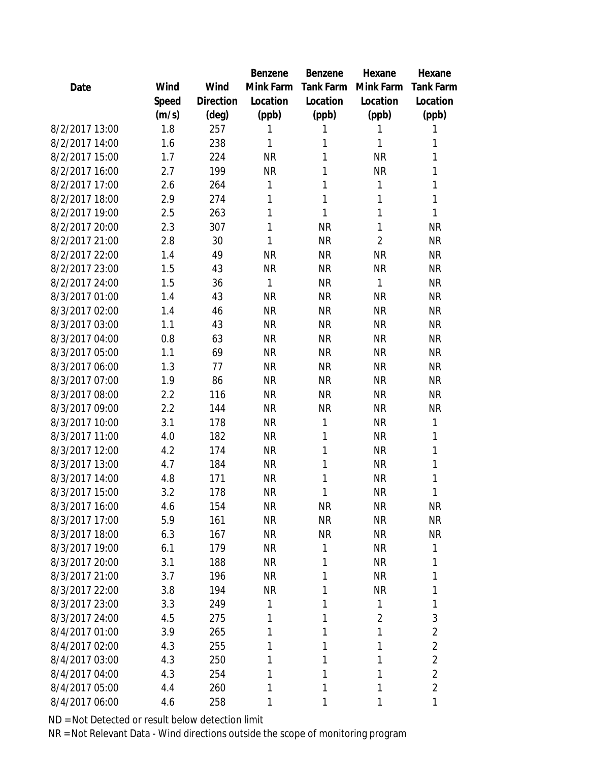|       |                | Benzene   | Benzene          | Hexane         | Hexane           |
|-------|----------------|-----------|------------------|----------------|------------------|
| Wind  | Wind           | Mink Farm | <b>Tank Farm</b> | Mink Farm      | <b>Tank Farm</b> |
| Speed | Direction      | Location  | Location         | Location       | Location         |
| (m/s) | $(\text{deg})$ | (ppb)     | (ppb)            | (ppb)          | (ppb)            |
| 1.8   | 257            | 1         | 1                | 1              | 1                |
| 1.6   | 238            | 1         | 1                | 1              | 1                |
| 1.7   | 224            | <b>NR</b> | 1                | <b>NR</b>      | 1                |
| 2.7   | 199            | <b>NR</b> | 1                | <b>NR</b>      | 1                |
| 2.6   | 264            | 1         | 1                | 1              | 1                |
| 2.9   | 274            | 1         | 1                | 1              | 1                |
| 2.5   | 263            | 1         | 1                | 1              | 1                |
| 2.3   | 307            | 1         | <b>NR</b>        | 1              | <b>NR</b>        |
| 2.8   | 30             | 1         | <b>NR</b>        | $\overline{2}$ | <b>NR</b>        |
| 1.4   | 49             | <b>NR</b> | <b>NR</b>        | <b>NR</b>      | <b>NR</b>        |
| 1.5   | 43             | <b>NR</b> | <b>NR</b>        | <b>NR</b>      | <b>NR</b>        |
| 1.5   | 36             | 1         | <b>NR</b>        | 1              | <b>NR</b>        |
| 1.4   | 43             | <b>NR</b> | <b>NR</b>        | <b>NR</b>      | <b>NR</b>        |
| 1.4   | 46             | <b>NR</b> | <b>NR</b>        | <b>NR</b>      | <b>NR</b>        |
| 1.1   | 43             | <b>NR</b> | <b>NR</b>        | <b>NR</b>      | <b>NR</b>        |
| 0.8   | 63             | <b>NR</b> | <b>NR</b>        | <b>NR</b>      | <b>NR</b>        |
| 1.1   | 69             | <b>NR</b> | <b>NR</b>        | <b>NR</b>      | <b>NR</b>        |
| 1.3   | 77             | <b>NR</b> | <b>NR</b>        | <b>NR</b>      | <b>NR</b>        |
| 1.9   | 86             | <b>NR</b> | <b>NR</b>        | <b>NR</b>      | <b>NR</b>        |
| 2.2   | 116            | <b>NR</b> | <b>NR</b>        | <b>NR</b>      | <b>NR</b>        |
| 2.2   | 144            | <b>NR</b> | <b>NR</b>        | <b>NR</b>      | <b>NR</b>        |
| 3.1   | 178            | <b>NR</b> | 1                | <b>NR</b>      | 1                |
| 4.0   | 182            | <b>NR</b> | 1                | <b>NR</b>      | 1                |
| 4.2   | 174            | <b>NR</b> | 1                | <b>NR</b>      | 1                |
| 4.7   | 184            | <b>NR</b> | 1                | <b>NR</b>      | 1                |
| 4.8   | 171            | <b>NR</b> | 1                | <b>NR</b>      | 1                |
| 3.2   | 178            | <b>NR</b> | 1                | <b>NR</b>      | 1                |
| 4.6   | 154            | <b>NR</b> | <b>NR</b>        | <b>NR</b>      | <b>NR</b>        |
| 5.9   | 161            | <b>NR</b> | <b>NR</b>        | <b>NR</b>      | <b>NR</b>        |
| 6.3   | 167            | <b>NR</b> | <b>NR</b>        | <b>NR</b>      | <b>NR</b>        |
| 6.1   | 179            | <b>NR</b> | 1                | <b>NR</b>      | 1                |
| 3.1   | 188            | <b>NR</b> | 1                | <b>NR</b>      | 1                |
| 3.7   | 196            | <b>NR</b> | 1                | <b>NR</b>      | 1                |
| 3.8   | 194            | <b>NR</b> | 1                | <b>NR</b>      | 1                |
| 3.3   | 249            | 1         | 1                | 1              | 1                |
| 4.5   | 275            | 1         | 1                | $\overline{2}$ | 3                |
| 3.9   | 265            | 1         | 1                | 1              | $\overline{2}$   |
|       |                | 1         | 1                | 1              | $\overline{2}$   |
| 4.3   | 250            | 1         | 1                | 1              | $\overline{2}$   |
| 4.3   | 254            | 1         | 1                | 1              | $\overline{2}$   |
| 4.4   | 260            | 1         | 1                | 1              | $\overline{2}$   |
| 4.6   | 258            | 1         | 1                | 1              | 1                |
|       | 4.3            | 255       |                  |                |                  |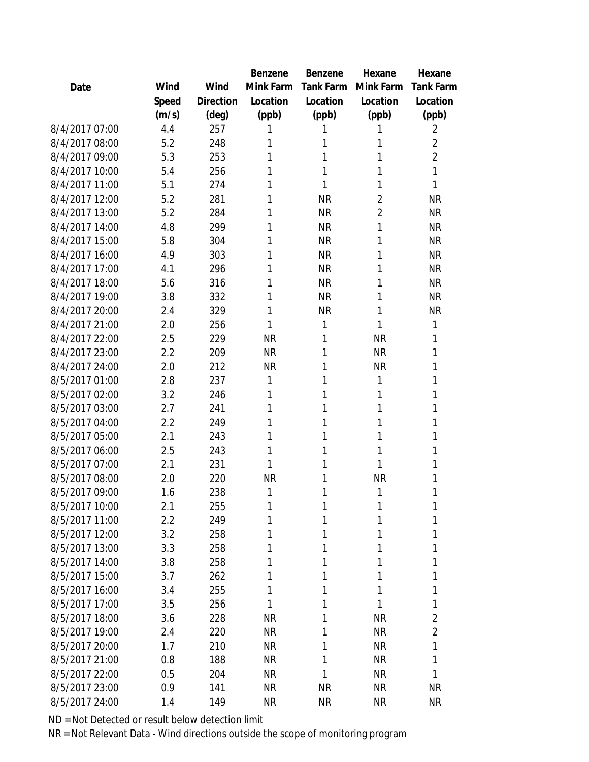|                |       |           | Benzene   | Benzene          | Hexane         | Hexane           |
|----------------|-------|-----------|-----------|------------------|----------------|------------------|
| Date           | Wind  | Wind      | Mink Farm | <b>Tank Farm</b> | Mink Farm      | <b>Tank Farm</b> |
|                | Speed | Direction | Location  | Location         | Location       | Location         |
|                | (m/s) | (deg)     | (ppb)     | (ppb)            | (ppb)          | (ppb)            |
| 8/4/2017 07:00 | 4.4   | 257       | 1         | 1                | 1              | 2                |
| 8/4/2017 08:00 | 5.2   | 248       | 1         | 1                | 1              | $\overline{2}$   |
| 8/4/2017 09:00 | 5.3   | 253       | 1         | 1                | 1              | $\overline{2}$   |
| 8/4/2017 10:00 | 5.4   | 256       | 1         | 1                | 1              | 1                |
| 8/4/2017 11:00 | 5.1   | 274       | 1         | 1                | 1              | 1                |
| 8/4/2017 12:00 | 5.2   | 281       | 1         | <b>NR</b>        | $\overline{2}$ | <b>NR</b>        |
| 8/4/2017 13:00 | 5.2   | 284       | 1         | <b>NR</b>        | $\overline{2}$ | <b>NR</b>        |
| 8/4/2017 14:00 | 4.8   | 299       | 1         | <b>NR</b>        | 1              | <b>NR</b>        |
| 8/4/2017 15:00 | 5.8   | 304       | 1         | <b>NR</b>        | 1              | <b>NR</b>        |
| 8/4/2017 16:00 | 4.9   | 303       | 1         | <b>NR</b>        | 1              | <b>NR</b>        |
| 8/4/2017 17:00 | 4.1   | 296       | 1         | <b>NR</b>        | 1              | <b>NR</b>        |
| 8/4/2017 18:00 | 5.6   | 316       | 1         | <b>NR</b>        | 1              | <b>NR</b>        |
| 8/4/2017 19:00 | 3.8   | 332       | 1         | <b>NR</b>        | 1              | <b>NR</b>        |
| 8/4/2017 20:00 | 2.4   | 329       | 1         | <b>NR</b>        | 1              | <b>NR</b>        |
| 8/4/2017 21:00 | 2.0   | 256       | 1         | 1                | 1              | 1                |
| 8/4/2017 22:00 | 2.5   | 229       | <b>NR</b> | 1                | <b>NR</b>      | 1                |
| 8/4/2017 23:00 | 2.2   | 209       | <b>NR</b> | 1                | <b>NR</b>      | 1                |
| 8/4/2017 24:00 | 2.0   | 212       | <b>NR</b> | 1                | <b>NR</b>      | 1                |
| 8/5/2017 01:00 | 2.8   | 237       | 1         | 1                | 1              | 1                |
| 8/5/2017 02:00 | 3.2   | 246       | 1         | 1                | 1              | 1                |
| 8/5/2017 03:00 | 2.7   | 241       | 1         | 1                | 1              | 1                |
| 8/5/2017 04:00 | 2.2   | 249       | 1         | 1                | 1              | 1                |
| 8/5/2017 05:00 | 2.1   | 243       | 1         | 1                | 1              | 1                |
| 8/5/2017 06:00 | 2.5   | 243       | 1         | 1                | 1              | 1                |
| 8/5/2017 07:00 | 2.1   | 231       | 1         | 1                | 1              | 1                |
| 8/5/2017 08:00 | 2.0   | 220       | <b>NR</b> | 1                | <b>NR</b>      | 1                |
| 8/5/2017 09:00 | 1.6   | 238       | 1         | 1                | 1              | 1                |
| 8/5/2017 10:00 | 2.1   | 255       | 1         | 1                | 1              | 1                |
| 8/5/2017 11:00 | 2.2   | 249       | 1         | 1                | 1              | 1                |
| 8/5/2017 12:00 | 3.2   | 258       | 1         | 1                | 1              | 1                |
| 8/5/2017 13:00 | 3.3   | 258       | 1         | 1                | 1              | 1                |
| 8/5/2017 14:00 | 3.8   | 258       | 1         | 1                | 1              | 1                |
| 8/5/2017 15:00 | 3.7   | 262       | 1         | 1                | 1              | 1                |
| 8/5/2017 16:00 | 3.4   | 255       | 1         | 1                | 1              | 1                |
| 8/5/2017 17:00 | 3.5   | 256       | 1         | 1                | 1              | 1                |
| 8/5/2017 18:00 | 3.6   | 228       | <b>NR</b> | 1                | <b>NR</b>      | $\overline{2}$   |
| 8/5/2017 19:00 | 2.4   | 220       | <b>NR</b> | 1                | <b>NR</b>      | $\overline{a}$   |
| 8/5/2017 20:00 | 1.7   | 210       | <b>NR</b> | 1                | <b>NR</b>      | 1                |
| 8/5/2017 21:00 | 0.8   | 188       | <b>NR</b> | 1                | <b>NR</b>      | 1                |
| 8/5/2017 22:00 | 0.5   | 204       | <b>NR</b> | 1                | <b>NR</b>      | 1                |
| 8/5/2017 23:00 | 0.9   | 141       | <b>NR</b> | <b>NR</b>        | <b>NR</b>      | <b>NR</b>        |
| 8/5/2017 24:00 | 1.4   | 149       | <b>NR</b> | <b>NR</b>        | <b>NR</b>      | <b>NR</b>        |